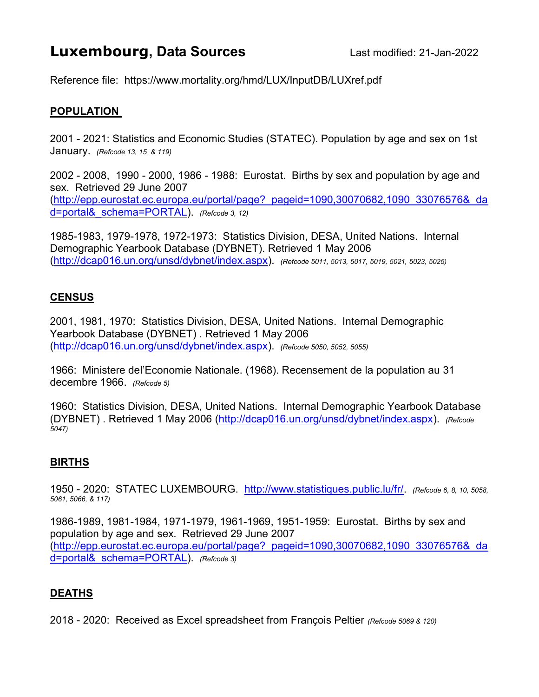# **Luxembourg, Data Sources** Last modified: 21-Jan-2022

Reference file: https://www.mortality.org/hmd/LUX/InputDB/LUXref.pdf

### POPULATION

2001 - 2021: Statistics and Economic Studies (STATEC). Population by age and sex on 1st January. (Refcode 13, 15 & 119)

2002 - 2008, 1990 - 2000, 1986 - 1988: Eurostat. Births by sex and population by age and sex. Retrieved 29 June 2007 (http://epp.eurostat.ec.europa.eu/portal/page?\_pageid=1090,30070682,1090\_33076576&\_da d=portal& schema=PORTAL). (Refcode 3, 12)

1985-1983, 1979-1978, 1972-1973: Statistics Division, DESA, United Nations. Internal Demographic Yearbook Database (DYBNET). Retrieved 1 May 2006 (http://dcap016.un.org/unsd/dybnet/index.aspx). (Refcode 5011, 5013, 5017, 5019, 5021, 5023, 5025)

#### **CENSUS**

2001, 1981, 1970: Statistics Division, DESA, United Nations. Internal Demographic Yearbook Database (DYBNET) . Retrieved 1 May 2006 (http://dcap016.un.org/unsd/dybnet/index.aspx). (Refcode 5050, 5052, 5055)

1966: Ministere del'Economie Nationale. (1968). Recensement de la population au 31 decembre 1966. (Refcode 5)

1960: Statistics Division, DESA, United Nations. Internal Demographic Yearbook Database (DYBNET) . Retrieved 1 May 2006 (http://dcap016.un.org/unsd/dybnet/index.aspx). (Refcode 5047)

#### BIRTHS

1950 - 2020: STATEC LUXEMBOURG. http://www.statistiques.public.lu/fr/. (Refcode 6, 8, 10, 5058, 5061, 5066, & 117)

1986-1989, 1981-1984, 1971-1979, 1961-1969, 1951-1959: Eurostat. Births by sex and population by age and sex. Retrieved 29 June 2007 (http://epp.eurostat.ec.europa.eu/portal/page?\_pageid=1090,30070682,1090\_33076576&\_da d=portal& schema=PORTAL). (Refcode 3)

## DEATHS

2018 - 2020: Received as Excel spreadsheet from François Peltier (Refcode 5069 & 120)